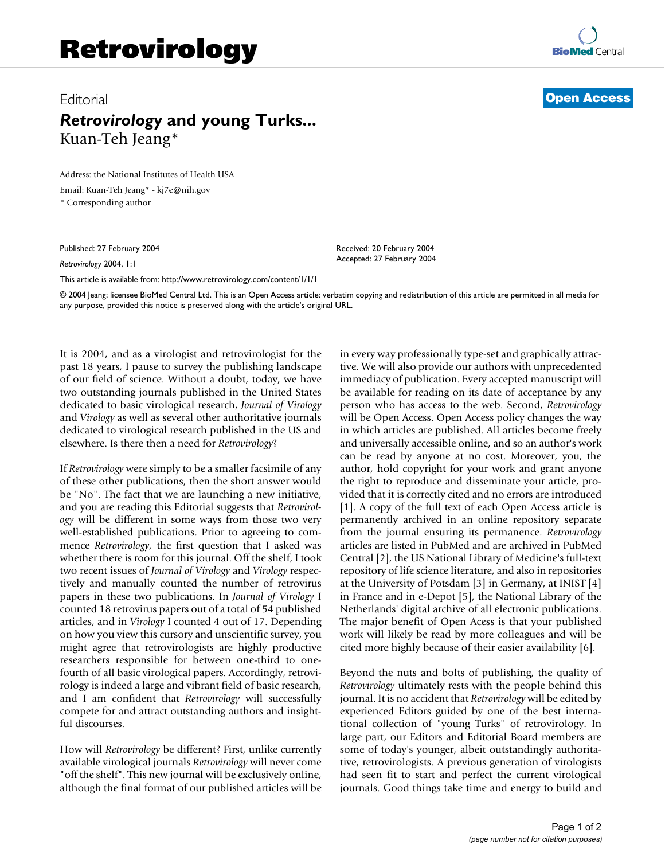## Editorial **[Open Access](http://www.biomedcentral.com/info/about/charter/)** *Retrovirology* **and young Turks...** Kuan-Teh Jeang\*

Address: the National Institutes of Health USA

Email: Kuan-Teh Jeang\* - kj7e@nih.gov \* Corresponding author

Published: 27 February 2004

*Retrovirology* 2004, **1**:1

[This article is available from: http://www.retrovirology.com/content/1/1/1](http://www.retrovirology.com/content/1/1/1)

© 2004 Jeang; licensee BioMed Central Ltd. This is an Open Access article: verbatim copying and redistribution of this article are permitted in all media for any purpose, provided this notice is preserved along with the article's original URL.

Received: 20 February 2004 Accepted: 27 February 2004

It is 2004, and as a virologist and retrovirologist for the past 18 years, I pause to survey the publishing landscape of our field of science. Without a doubt, today, we have two outstanding journals published in the United States dedicated to basic virological research, *Journal of Virology* and *Virology* as well as several other authoritative journals dedicated to virological research published in the US and elsewhere. Is there then a need for *Retrovirology*?

If *Retrovirology* were simply to be a smaller facsimile of any of these other publications, then the short answer would be "No". The fact that we are launching a new initiative, and you are reading this Editorial suggests that *Retrovirology* will be different in some ways from those two very well-established publications. Prior to agreeing to commence *Retrovirology*, the first question that I asked was whether there is room for this journal. Off the shelf, I took two recent issues of *Journal of Virology* and *Virology* respectively and manually counted the number of retrovirus papers in these two publications. In *Journal of Virology* I counted 18 retrovirus papers out of a total of 54 published articles, and in *Virology* I counted 4 out of 17. Depending on how you view this cursory and unscientific survey, you might agree that retrovirologists are highly productive researchers responsible for between one-third to onefourth of all basic virological papers. Accordingly, retrovirology is indeed a large and vibrant field of basic research, and I am confident that *Retrovirology* will successfully compete for and attract outstanding authors and insightful discourses.

How will *Retrovirology* be different? First, unlike currently available virological journals *Retrovirology* will never come "off the shelf". This new journal will be exclusively online, although the final format of our published articles will be

in every way professionally type-set and graphically attractive. We will also provide our authors with unprecedented immediacy of publication. Every accepted manuscript will be available for reading on its date of acceptance by any person who has access to the web. Second, *Retrovirology* will be Open Access. Open Access policy changes the way in which articles are published. All articles become freely and universally accessible online, and so an author's work can be read by anyone at no cost. Moreover, you, the author, hold copyright for your work and grant anyone the right to reproduce and disseminate your article, provided that it is correctly cited and no errors are introduced [1]. A copy of the full text of each Open Access article is permanently archived in an online repository separate from the journal ensuring its permanence. *Retrovirology* articles are listed in PubMed and are archived in PubMed Central [2], the US National Library of Medicine's full-text repository of life science literature, and also in repositories at the University of Potsdam [3] in Germany, at INIST [4] in France and in e-Depot [5], the National Library of the Netherlands' digital archive of all electronic publications. The major benefit of Open Acess is that your published work will likely be read by more colleagues and will be cited more highly because of their easier availability [6].

Beyond the nuts and bolts of publishing, the quality of *Retrovirology* ultimately rests with the people behind this journal. It is no accident that *Retrovirology* will be edited by experienced Editors guided by one of the best international collection of "young Turks" of retrovirology. In large part, our Editors and Editorial Board members are some of today's younger, albeit outstandingly authoritative, retrovirologists. A previous generation of virologists had seen fit to start and perfect the current virological journals. Good things take time and energy to build and